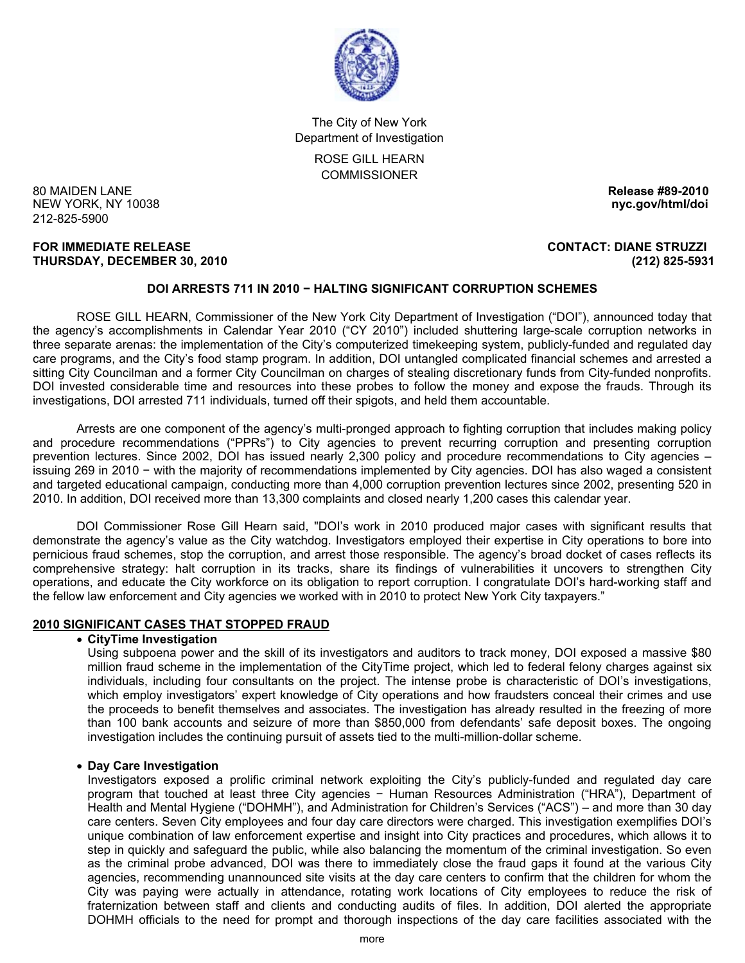

The City of New York Department of Investigation

> ROSE GILL HEARN COMMISSIONER

80 MAIDEN LANE **Release #89-2010 NEW YORK, NY 10038** 212-825-5900

#### **FOR IMMEDIATE RELEASE CONTACT: DIANE STRUZZI THURSDAY, DECEMBER 30, 2010 (212) 825-5931**

# **DOI ARRESTS 711 IN 2010 − HALTING SIGNIFICANT CORRUPTION SCHEMES**

 ROSE GILL HEARN, Commissioner of the New York City Department of Investigation ("DOI"), announced today that the agency's accomplishments in Calendar Year 2010 ("CY 2010") included shuttering large-scale corruption networks in three separate arenas: the implementation of the City's computerized timekeeping system, publicly-funded and regulated day care programs, and the City's food stamp program. In addition, DOI untangled complicated financial schemes and arrested a sitting City Councilman and a former City Councilman on charges of stealing discretionary funds from City-funded nonprofits. DOI invested considerable time and resources into these probes to follow the money and expose the frauds. Through its investigations, DOI arrested 711 individuals, turned off their spigots, and held them accountable.

 Arrests are one component of the agency's multi-pronged approach to fighting corruption that includes making policy and procedure recommendations ("PPRs") to City agencies to prevent recurring corruption and presenting corruption prevention lectures. Since 2002, DOI has issued nearly 2,300 policy and procedure recommendations to City agencies – issuing 269 in 2010 − with the majority of recommendations implemented by City agencies. DOI has also waged a consistent and targeted educational campaign, conducting more than 4,000 corruption prevention lectures since 2002, presenting 520 in 2010. In addition, DOI received more than 13,300 complaints and closed nearly 1,200 cases this calendar year.

 DOI Commissioner Rose Gill Hearn said, "DOI's work in 2010 produced major cases with significant results that demonstrate the agency's value as the City watchdog. Investigators employed their expertise in City operations to bore into pernicious fraud schemes, stop the corruption, and arrest those responsible. The agency's broad docket of cases reflects its comprehensive strategy: halt corruption in its tracks, share its findings of vulnerabilities it uncovers to strengthen City operations, and educate the City workforce on its obligation to report corruption. I congratulate DOI's hard-working staff and the fellow law enforcement and City agencies we worked with in 2010 to protect New York City taxpayers."

### **2010 SIGNIFICANT CASES THAT STOPPED FRAUD**

## • **CityTime Investigation**

Using subpoena power and the skill of its investigators and auditors to track money, DOI exposed a massive \$80 million fraud scheme in the implementation of the CityTime project, which led to federal felony charges against six individuals, including four consultants on the project. The intense probe is characteristic of DOI's investigations, which employ investigators' expert knowledge of City operations and how fraudsters conceal their crimes and use the proceeds to benefit themselves and associates. The investigation has already resulted in the freezing of more than 100 bank accounts and seizure of more than \$850,000 from defendants' safe deposit boxes. The ongoing investigation includes the continuing pursuit of assets tied to the multi-million-dollar scheme.

### • **Day Care Investigation**

Investigators exposed a prolific criminal network exploiting the City's publicly-funded and regulated day care program that touched at least three City agencies − Human Resources Administration ("HRA"), Department of Health and Mental Hygiene ("DOHMH"), and Administration for Children's Services ("ACS") – and more than 30 day care centers. Seven City employees and four day care directors were charged. This investigation exemplifies DOI's unique combination of law enforcement expertise and insight into City practices and procedures, which allows it to step in quickly and safeguard the public, while also balancing the momentum of the criminal investigation. So even as the criminal probe advanced, DOI was there to immediately close the fraud gaps it found at the various City agencies, recommending unannounced site visits at the day care centers to confirm that the children for whom the City was paying were actually in attendance, rotating work locations of City employees to reduce the risk of fraternization between staff and clients and conducting audits of files. In addition, DOI alerted the appropriate DOHMH officials to the need for prompt and thorough inspections of the day care facilities associated with the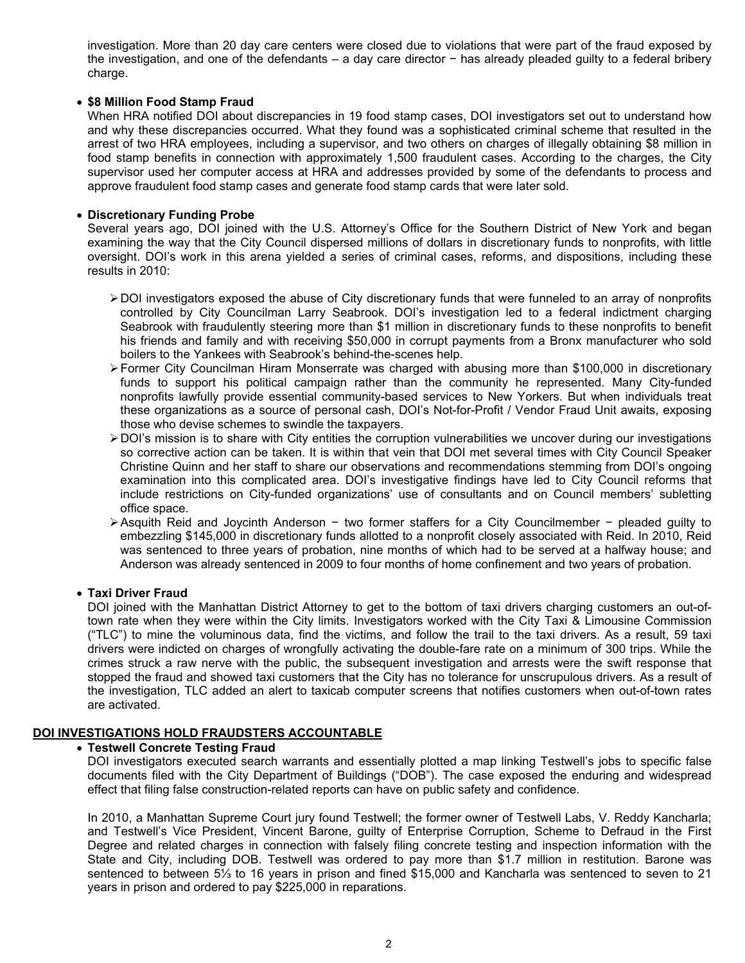investigation. More than 20 day care centers were closed due to violations that were part of the fraud exposed by the investigation, and one of the defendants – a day care director − has already pleaded guilty to a federal bribery charge.

## • **\$8 Million Food Stamp Fraud**

When HRA notified DOI about discrepancies in 19 food stamp cases. DOI investigators set out to understand how and why these discrepancies occurred. What they found was a sophisticated criminal scheme that resulted in the arrest of two HRA employees, including a supervisor, and two others on charges of illegally obtaining \$8 million in food stamp benefits in connection with approximately 1,500 fraudulent cases. According to the charges, the City supervisor used her computer access at HRA and addresses provided by some of the defendants to process and approve fraudulent food stamp cases and generate food stamp cards that were later sold.

## • **Discretionary Funding Probe**

Several years ago, DOI joined with the U.S. Attorney's Office for the Southern District of New York and began examining the way that the City Council dispersed millions of dollars in discretionary funds to nonprofits, with little oversight. DOI's work in this arena yielded a series of criminal cases, reforms, and dispositions, including these results in 2010:

- ¾ DOI investigators exposed the abuse of City discretionary funds that were funneled to an array of nonprofits controlled by City Councilman Larry Seabrook. DOI's investigation led to a federal indictment charging Seabrook with fraudulently steering more than \$1 million in discretionary funds to these nonprofits to benefit his friends and family and with receiving \$50,000 in corrupt payments from a Bronx manufacturer who sold boilers to the Yankees with Seabrook's behind-the-scenes help.
- ¾ Former City Councilman Hiram Monserrate was charged with abusing more than \$100,000 in discretionary funds to support his political campaign rather than the community he represented. Many City-funded nonprofits lawfully provide essential community-based services to New Yorkers. But when individuals treat these organizations as a source of personal cash, DOI's Not-for-Profit / Vendor Fraud Unit awaits, exposing those who devise schemes to swindle the taxpayers.
- ¾ DOI's mission is to share with City entities the corruption vulnerabilities we uncover during our investigations so corrective action can be taken. It is within that vein that DOI met several times with City Council Speaker Christine Quinn and her staff to share our observations and recommendations stemming from DOI's ongoing examination into this complicated area. DOI's investigative findings have led to City Council reforms that include restrictions on City-funded organizations' use of consultants and on Council members' subletting office space.
- ¾ Asquith Reid and Joycinth Anderson − two former staffers for a City Councilmember − pleaded guilty to embezzling \$145,000 in discretionary funds allotted to a nonprofit closely associated with Reid. In 2010, Reid was sentenced to three years of probation, nine months of which had to be served at a halfway house; and Anderson was already sentenced in 2009 to four months of home confinement and two years of probation.

### • **Taxi Driver Fraud**

DOI joined with the Manhattan District Attorney to get to the bottom of taxi drivers charging customers an out-oftown rate when they were within the City limits. Investigators worked with the City Taxi & Limousine Commission ("TLC") to mine the voluminous data, find the victims, and follow the trail to the taxi drivers. As a result, 59 taxi drivers were indicted on charges of wrongfully activating the double-fare rate on a minimum of 300 trips. While the crimes struck a raw nerve with the public, the subsequent investigation and arrests were the swift response that stopped the fraud and showed taxi customers that the City has no tolerance for unscrupulous drivers. As a result of the investigation, TLC added an alert to taxicab computer screens that notifies customers when out-of-town rates are activated.

# **DOI INVESTIGATIONS HOLD FRAUDSTERS ACCOUNTABLE**

## • **Testwell Concrete Testing Fraud**

DOI investigators executed search warrants and essentially plotted a map linking Testwell's jobs to specific false documents filed with the City Department of Buildings ("DOB"). The case exposed the enduring and widespread effect that filing false construction-related reports can have on public safety and confidence.

In 2010, a Manhattan Supreme Court jury found Testwell; the former owner of Testwell Labs, V. Reddy Kancharla; and Testwell's Vice President, Vincent Barone, guilty of Enterprise Corruption, Scheme to Defraud in the First Degree and related charges in connection with falsely filing concrete testing and inspection information with the State and City, including DOB. Testwell was ordered to pay more than \$1.7 million in restitution. Barone was sentenced to between 5<sup>1</sup>/<sub>3</sub> to 16 years in prison and fined \$15,000 and Kancharla was sentenced to seven to 21 years in prison and ordered to pay \$225,000 in reparations.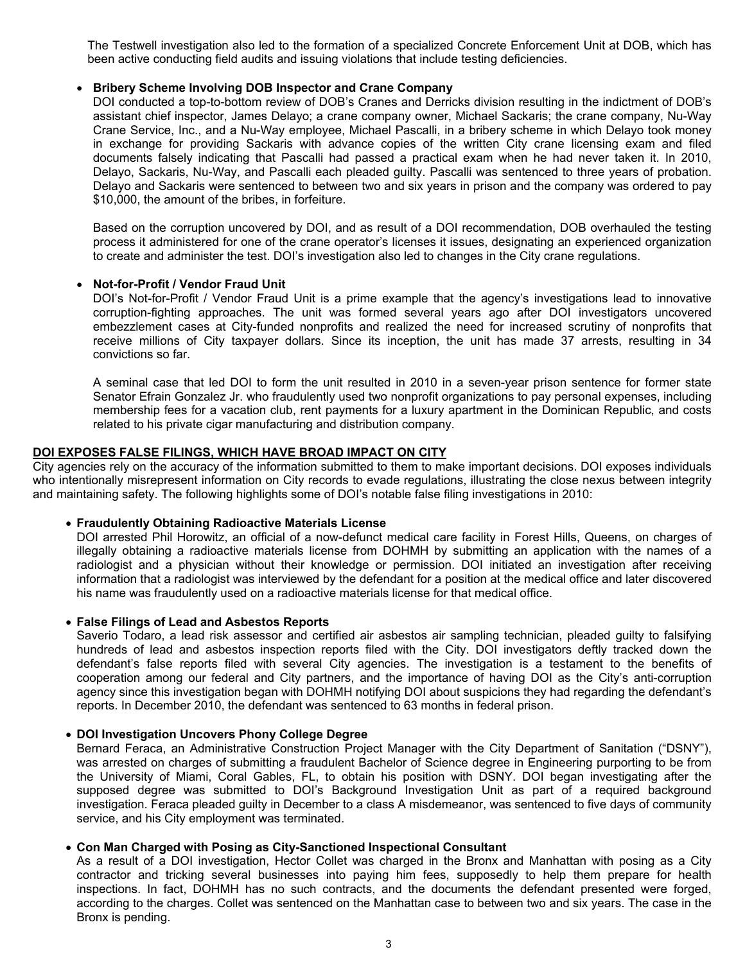The Testwell investigation also led to the formation of a specialized Concrete Enforcement Unit at DOB, which has been active conducting field audits and issuing violations that include testing deficiencies.

### • **Bribery Scheme Involving DOB Inspector and Crane Company**

DOI conducted a top-to-bottom review of DOB's Cranes and Derricks division resulting in the indictment of DOB's assistant chief inspector, James Delayo; a crane company owner, Michael Sackaris; the crane company, Nu-Way Crane Service, Inc., and a Nu-Way employee, Michael Pascalli, in a bribery scheme in which Delayo took money in exchange for providing Sackaris with advance copies of the written City crane licensing exam and filed documents falsely indicating that Pascalli had passed a practical exam when he had never taken it. In 2010, Delayo, Sackaris, Nu-Way, and Pascalli each pleaded guilty. Pascalli was sentenced to three years of probation. Delayo and Sackaris were sentenced to between two and six years in prison and the company was ordered to pay \$10,000, the amount of the bribes, in forfeiture.

Based on the corruption uncovered by DOI, and as result of a DOI recommendation, DOB overhauled the testing process it administered for one of the crane operator's licenses it issues, designating an experienced organization to create and administer the test. DOI's investigation also led to changes in the City crane regulations.

### • **Not-for-Profit / Vendor Fraud Unit**

DOI's Not-for-Profit / Vendor Fraud Unit is a prime example that the agency's investigations lead to innovative corruption-fighting approaches. The unit was formed several years ago after DOI investigators uncovered embezzlement cases at City-funded nonprofits and realized the need for increased scrutiny of nonprofits that receive millions of City taxpayer dollars. Since its inception, the unit has made 37 arrests, resulting in 34 convictions so far.

A seminal case that led DOI to form the unit resulted in 2010 in a seven-year prison sentence for former state Senator Efrain Gonzalez Jr. who fraudulently used two nonprofit organizations to pay personal expenses, including membership fees for a vacation club, rent payments for a luxury apartment in the Dominican Republic, and costs related to his private cigar manufacturing and distribution company.

#### **DOI EXPOSES FALSE FILINGS, WHICH HAVE BROAD IMPACT ON CITY**

City agencies rely on the accuracy of the information submitted to them to make important decisions. DOI exposes individuals who intentionally misrepresent information on City records to evade regulations, illustrating the close nexus between integrity and maintaining safety. The following highlights some of DOI's notable false filing investigations in 2010:

### • **Fraudulently Obtaining Radioactive Materials License**

DOI arrested Phil Horowitz, an official of a now-defunct medical care facility in Forest Hills, Queens, on charges of illegally obtaining a radioactive materials license from DOHMH by submitting an application with the names of a radiologist and a physician without their knowledge or permission. DOI initiated an investigation after receiving information that a radiologist was interviewed by the defendant for a position at the medical office and later discovered his name was fraudulently used on a radioactive materials license for that medical office.

#### • **False Filings of Lead and Asbestos Reports**

Saverio Todaro, a lead risk assessor and certified air asbestos air sampling technician, pleaded guilty to falsifying hundreds of lead and asbestos inspection reports filed with the City. DOI investigators deftly tracked down the defendant's false reports filed with several City agencies. The investigation is a testament to the benefits of cooperation among our federal and City partners, and the importance of having DOI as the City's anti-corruption agency since this investigation began with DOHMH notifying DOI about suspicions they had regarding the defendant's reports. In December 2010, the defendant was sentenced to 63 months in federal prison.

## • **DOI Investigation Uncovers Phony College Degree**

Bernard Feraca, an Administrative Construction Project Manager with the City Department of Sanitation ("DSNY"), was arrested on charges of submitting a fraudulent Bachelor of Science degree in Engineering purporting to be from the University of Miami, Coral Gables, FL, to obtain his position with DSNY. DOI began investigating after the supposed degree was submitted to DOI's Background Investigation Unit as part of a required background investigation. Feraca pleaded guilty in December to a class A misdemeanor, was sentenced to five days of community service, and his City employment was terminated.

#### • **Con Man Charged with Posing as City-Sanctioned Inspectional Consultant**

As a result of a DOI investigation, Hector Collet was charged in the Bronx and Manhattan with posing as a City contractor and tricking several businesses into paying him fees, supposedly to help them prepare for health inspections. In fact, DOHMH has no such contracts, and the documents the defendant presented were forged, according to the charges. Collet was sentenced on the Manhattan case to between two and six years. The case in the Bronx is pending.